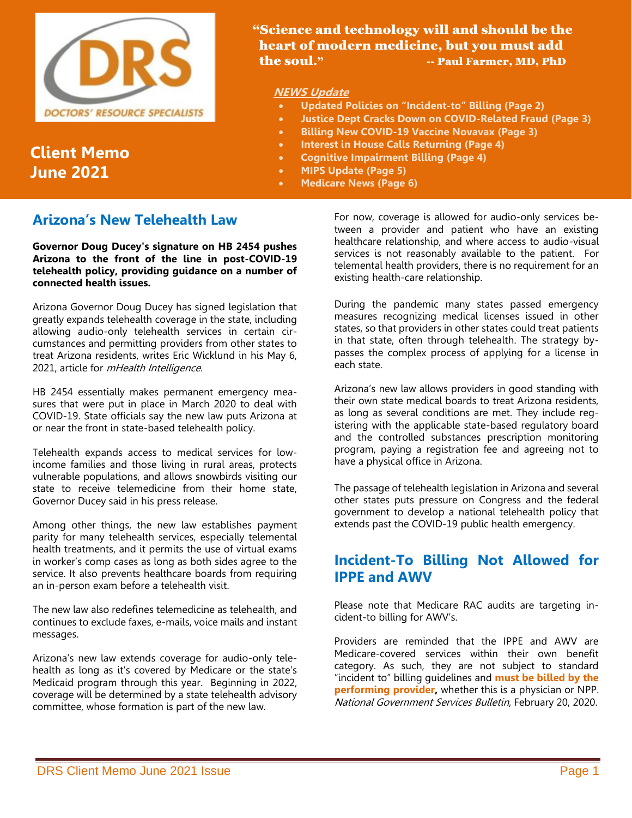

# **Client Memo June 2021**

#### "Science and technology will and should be the heart of modern medicine, but you must add the soul." --- Paul Farmer, MD, PhD

#### **NEWS Update**

- **Updated Policies on "Incident-to" Billing (Page 2)**
- **Justice Dept Cracks Down on COVID-Related Fraud (Page 3)**
- **Billing New COVID-19 Vaccine Novavax (Page 3)**
- **Interest in House Calls Returning (Page 4)**
- **Cognitive Impairment Billing (Page 4)**
- **MIPS Update (Page 5)**
- **Medicare News (Page 6)**

### **Arizona's New Telehealth Law**

**Governor Doug Ducey's signature on HB 2454 pushes Arizona to the front of the line in post-COVID-19 telehealth policy, providing guidance on a number of connected health issues.**

Arizona Governor Doug Ducey has signed legislation that greatly expands telehealth coverage in the state, including allowing audio-only telehealth services in certain circumstances and permitting providers from other states to treat Arizona residents, writes Eric Wicklund in his May 6, 2021, article for *mHealth Intelligence*.

HB 2454 essentially makes permanent emergency measures that were put in place in March 2020 to deal with COVID-19. State officials say the new law puts Arizona at or near the front in state-based telehealth policy.

Telehealth expands access to medical services for lowincome families and those living in rural areas, protects vulnerable populations, and allows snowbirds visiting our state to receive telemedicine from their home state, Governor Ducey said in his press release.

Among other things, the new law establishes payment parity for many telehealth services, especially telemental health treatments, and it permits the use of virtual exams in worker's comp cases as long as both sides agree to the service. It also prevents healthcare boards from requiring an in-person exam before a telehealth visit.

The new law also redefines telemedicine as telehealth, and continues to exclude faxes, e-mails, voice mails and instant messages.

Arizona's new law extends coverage for audio-only telehealth as long as it's covered by Medicare or the state's Medicaid program through this year. Beginning in 2022, coverage will be determined by a state telehealth advisory committee, whose formation is part of the new law.

For now, coverage is allowed for audio-only services between a provider and patient who have an existing healthcare relationship, and where access to audio-visual services is not reasonably available to the patient. For telemental health providers, there is no requirement for an existing health-care relationship.

During the pandemic many states passed emergency measures recognizing medical licenses issued in other states, so that providers in other states could treat patients in that state, often through telehealth. The strategy bypasses the complex process of applying for a license in each state.

Arizona's new law allows providers in good standing with their own state medical boards to treat Arizona residents, as long as several conditions are met. They include registering with the applicable state-based regulatory board and the controlled substances prescription monitoring program, paying a registration fee and agreeing not to have a physical office in Arizona.

The passage of telehealth legislation in Arizona and several other states puts pressure on Congress and the federal government to develop a national telehealth policy that extends past the COVID-19 public health emergency.

### **Incident-To Billing Not Allowed for IPPE and AWV**

Please note that Medicare RAC audits are targeting incident-to billing for AWV's.

Providers are reminded that the IPPE and AWV are Medicare-covered services within their own benefit category. As such, they are not subject to standard "incident to" billing guidelines and **must be billed by the performing provider,** whether this is a physician or NPP. National Government Services Bulletin, February 20, 2020.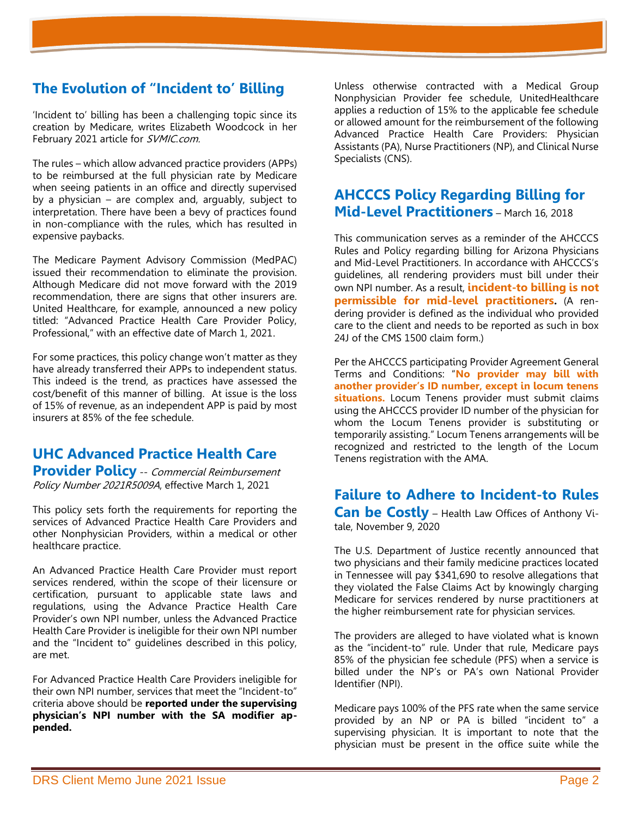# **The Evolution of "Incident to' Billing**

'Incident to' billing has been a challenging topic since its creation by Medicare, writes Elizabeth Woodcock in her February 2021 article for SVMIC.com.

The rules – which allow advanced practice providers (APPs) to be reimbursed at the full physician rate by Medicare when seeing patients in an office and directly supervised by a physician – are complex and, arguably, subject to interpretation. There have been a bevy of practices found in non-compliance with the rules, which has resulted in expensive paybacks.

The Medicare Payment Advisory Commission (MedPAC) issued their recommendation to eliminate the provision. Although Medicare did not move forward with the 2019 recommendation, there are signs that other insurers are. United Healthcare, for example, announced a new policy titled: "Advanced Practice Health Care Provider Policy, Professional," with an effective date of March 1, 2021.

For some practices, this policy change won't matter as they have already transferred their APPs to independent status. This indeed is the trend, as practices have assessed the cost/benefit of this manner of billing. At issue is the loss of 15% of revenue, as an independent APP is paid by most insurers at 85% of the fee schedule.

# **UHC Advanced Practice Health Care Provider Policy** -- Commercial Reimbursement

Policy Number 2021R5009A, effective March 1, 2021

This policy sets forth the requirements for reporting the services of Advanced Practice Health Care Providers and other Nonphysician Providers, within a medical or other healthcare practice.

An Advanced Practice Health Care Provider must report services rendered, within the scope of their licensure or certification, pursuant to applicable state laws and regulations, using the Advance Practice Health Care Provider's own NPI number, unless the Advanced Practice Health Care Provider is ineligible for their own NPI number and the "Incident to" guidelines described in this policy, are met.

For Advanced Practice Health Care Providers ineligible for their own NPI number, services that meet the "Incident-to" criteria above should be **reported under the supervising physician's NPI number with the SA modifier appended.**

Unless otherwise contracted with a Medical Group Nonphysician Provider fee schedule, UnitedHealthcare applies a reduction of 15% to the applicable fee schedule or allowed amount for the reimbursement of the following Advanced Practice Health Care Providers: Physician Assistants (PA), Nurse Practitioners (NP), and Clinical Nurse Specialists (CNS).

# **AHCCCS Policy Regarding Billing for Mid-Level Practitioners** – March 16, 2018

This communication serves as a reminder of the AHCCCS Rules and Policy regarding billing for Arizona Physicians and Mid-Level Practitioners. In accordance with AHCCCS's guidelines, all rendering providers must bill under their own NPI number. As a result, **incident-to billing is not permissible for mid-level practitioners.** (A rendering provider is defined as the individual who provided care to the client and needs to be reported as such in box 24J of the CMS 1500 claim form.)

Per the AHCCCS participating Provider Agreement General Terms and Conditions: "**No provider may bill with another provider's ID number, except in locum tenens situations.** Locum Tenens provider must submit claims using the AHCCCS provider ID number of the physician for whom the Locum Tenens provider is substituting or temporarily assisting." Locum Tenens arrangements will be recognized and restricted to the length of the Locum Tenens registration with the AMA.

#### **Failure to Adhere to Incident-to Rules Can be Costly** – Health Law Offices of Anthony Vi-

tale, November 9, 2020

The U.S. Department of Justice recently announced that two physicians and their family medicine practices located in Tennessee will pay \$341,690 to resolve allegations that they violated the False Claims Act by knowingly charging Medicare for services rendered by nurse practitioners at the higher reimbursement rate for physician services.

The providers are alleged to have violated what is known as the "incident-to" rule. Under that rule, Medicare pays 85% of the physician fee schedule (PFS) when a service is billed under the NP's or PA's own National Provider Identifier (NPI).

Medicare pays 100% of the PFS rate when the same service provided by an NP or PA is billed "incident to" a supervising physician. It is important to note that the physician must be present in the office suite while the

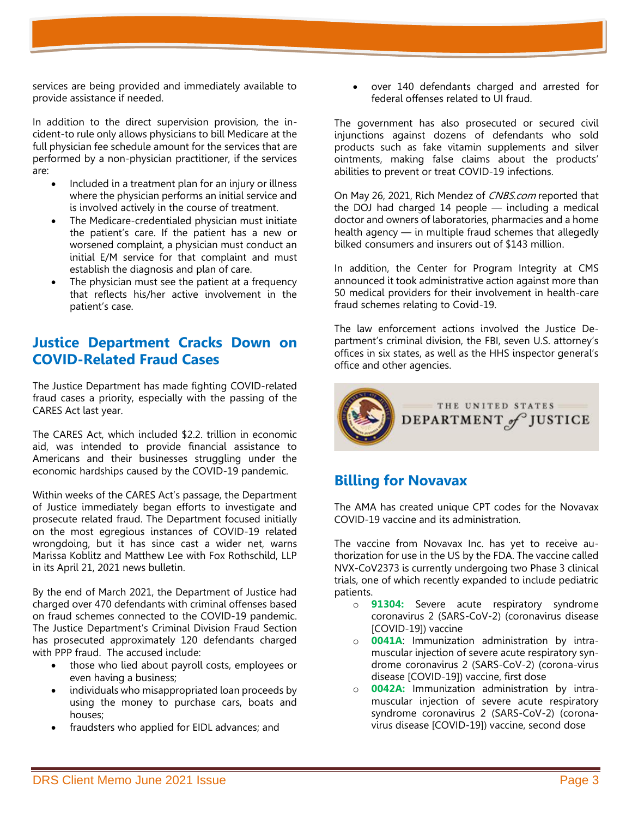services are being provided and immediately available to provide assistance if needed.

In addition to the direct supervision provision, the incident-to rule only allows physicians to bill Medicare at the full physician fee schedule amount for the services that are performed by a non-physician practitioner, if the services are:

- Included in a treatment plan for an injury or illness where the physician performs an initial service and is involved actively in the course of treatment.
- The Medicare-credentialed physician must initiate the patient's care. If the patient has a new or worsened complaint, a physician must conduct an initial E/M service for that complaint and must establish the diagnosis and plan of care.
- The physician must see the patient at a frequency that reflects his/her active involvement in the patient's case.

### **Justice Department Cracks Down on COVID-Related Fraud Cases**

The Justice Department has made fighting COVID-related fraud cases a priority, especially with the passing of the CARES Act last year.

The CARES Act, which included \$2.2. trillion in economic aid, was intended to provide financial assistance to Americans and their businesses struggling under the economic hardships caused by the COVID-19 pandemic.

Within weeks of the CARES Act's passage, the Department of Justice immediately began efforts to investigate and prosecute related fraud. The Department focused initially on the most egregious instances of COVID-19 related wrongdoing, but it has since cast a wider net, warns Marissa Koblitz and Matthew Lee with Fox Rothschild, LLP in its April 21, 2021 news bulletin.

By the end of March 2021, the Department of Justice had charged over 470 defendants with criminal offenses based on fraud schemes connected to the COVID-19 pandemic. The Justice Department's Criminal Division Fraud Section has prosecuted approximately 120 defendants charged with PPP fraud. The accused include:

- those who lied about payroll costs, employees or even having a business;
- individuals who misappropriated loan proceeds by using the money to purchase cars, boats and houses;
- fraudsters who applied for EIDL advances; and

• over 140 defendants charged and arrested for federal offenses related to UI fraud.

The government has also prosecuted or secured civil injunctions against dozens of defendants who sold products such as fake vitamin supplements and silver ointments, making false claims about the products' abilities to prevent or treat COVID-19 infections.

On May 26, 2021, Rich Mendez of CNBS.com reported that the DOJ had charged 14 people — including a medical doctor and owners of laboratories, pharmacies and a home health agency — in multiple fraud schemes that allegedly bilked consumers and insurers out of \$143 million.

In addition, the Center for Program Integrity at CMS announced it took administrative action against more than 50 medical providers for their involvement in health-care fraud schemes relating to Covid-19.

The law enforcement actions involved the Justice Department's criminal division, the FBI, seven U.S. attorney's offices in six states, as well as the HHS inspector general's office and other agencies.



### **Billing for Novavax**

The AMA has created unique CPT codes for the Novavax COVID-19 vaccine and its administration.

The vaccine from Novavax Inc. has yet to receive authorization for use in the US by the FDA. The vaccine called NVX-CoV2373 is currently undergoing two Phase 3 clinical trials, one of which recently expanded to include pediatric patients.

- o **91304:** Severe acute respiratory syndrome coronavirus 2 (SARS-CoV-2) (coronavirus disease [COVID-19]) vaccine
- o **0041A**: Immunization administration by intramuscular injection of severe acute respiratory syndrome coronavirus 2 (SARS-CoV-2) (corona-virus disease [COVID-19]) vaccine, first dose
- o **0042A:** Immunization administration by intramuscular injection of severe acute respiratory syndrome coronavirus 2 (SARS-CoV-2) (coronavirus disease [COVID-19]) vaccine, second dose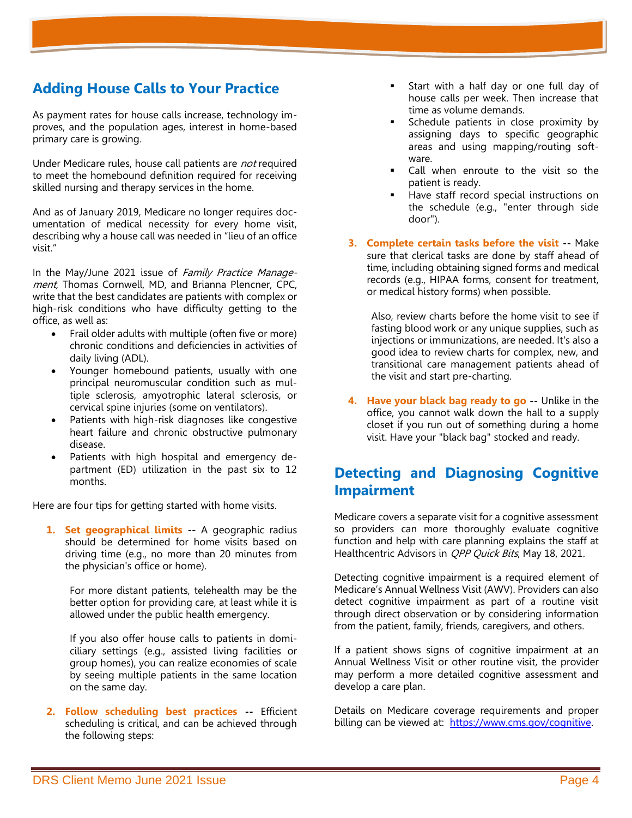### **Adding House Calls to Your Practice**

As payment rates for house calls increase, technology improves, and the population ages, interest in home-based primary care is growing.

Under Medicare rules, house call patients are not required to meet the homebound definition required for receiving skilled nursing and therapy services in the home.

And as of January 2019, Medicare no longer requires documentation of medical necessity for every home visit, describing why a house call was needed in "lieu of an office visit."

In the May/June 2021 issue of Family Practice Management, Thomas Cornwell, MD, and Brianna Plencner, CPC, write that the best candidates are patients with complex or high-risk conditions who have difficulty getting to the office, as well as:

- Frail older adults with multiple (often five or more) chronic conditions and deficiencies in activities of daily living (ADL).
- Younger homebound patients, usually with one principal neuromuscular condition such as multiple sclerosis, amyotrophic lateral sclerosis, or cervical spine injuries (some on ventilators).
- Patients with high-risk diagnoses like congestive heart failure and chronic obstructive pulmonary disease.
- Patients with high hospital and emergency department (ED) utilization in the past six to 12 months.

Here are four tips for getting started with home visits.

**1. Set geographical limits --** A geographic radius should be determined for home visits based on driving time (e.g., no more than 20 minutes from the physician's office or home).

For more distant patients, telehealth may be the better option for providing care, at least while it is allowed under the public health emergency.

If you also offer house calls to patients in domiciliary settings (e.g., assisted living facilities or group homes), you can realize economies of scale by seeing multiple patients in the same location on the same day.

**2. Follow scheduling best practices --** Efficient scheduling is critical, and can be achieved through the following steps:

- Start with a half day or one full day of house calls per week. Then increase that time as volume demands.
- Schedule patients in close proximity by assigning days to specific geographic areas and using mapping/routing software.
- Call when enroute to the visit so the patient is ready.
- Have staff record special instructions on the schedule (e.g., "enter through side door").
- **3. Complete certain tasks before the visit --** Make sure that clerical tasks are done by staff ahead of time, including obtaining signed forms and medical records (e.g., HIPAA forms, consent for treatment, or medical history forms) when possible.

Also, review charts before the home visit to see if fasting blood work or any unique supplies, such as injections or immunizations, are needed. It's also a good idea to review charts for complex, new, and transitional care management patients ahead of the visit and start pre-charting.

**4. Have your black bag ready to go --** Unlike in the office, you cannot walk down the hall to a supply closet if you run out of something during a home visit. Have your "black bag" stocked and ready.

### **Detecting and Diagnosing Cognitive Impairment**

Medicare covers a separate visit for a cognitive assessment so providers can more thoroughly evaluate cognitive function and help with care planning explains the staff at Healthcentric Advisors in *QPP Quick Bits*, May 18, 2021.

Detecting cognitive impairment is a required element of Medicare's Annual Wellness Visit (AWV). Providers can also detect cognitive impairment as part of a routine visit through direct observation or by considering information from the patient, family, friends, caregivers, and others.

If a patient shows signs of cognitive impairment at an Annual Wellness Visit or other routine visit, the provider may perform a more detailed cognitive assessment and develop a care plan.

Details on Medicare coverage requirements and proper billing can be viewed at: [https://www.cms.gov/cognitive.](https://www.cms.gov/cognitive)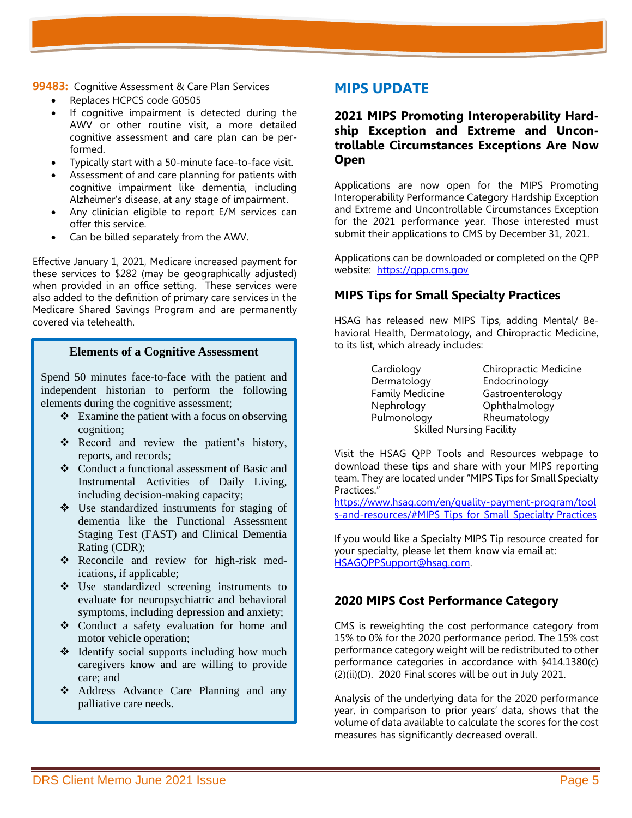**99483:** Cognitive Assessment & Care Plan Services

- Replaces HCPCS code G0505
- If cognitive impairment is detected during the AWV or other routine visit, a more detailed cognitive assessment and care plan can be performed.
- Typically start with a 50-minute face-to-face visit.
- Assessment of and care planning for patients with cognitive impairment like dementia, including Alzheimer's disease, at any stage of impairment.
- Any clinician eligible to report E/M services can offer this service.
- Can be billed separately from the AWV.

Effective January 1, 2021, Medicare increased payment for these services to \$282 (may be geographically adjusted) when provided in an office setting. These services were also added to the definition of primary care services in the Medicare Shared Savings Program and are permanently covered via telehealth.

#### **Elements of a Cognitive Assessment**

Spend 50 minutes face-to-face with the patient and independent historian to perform the following elements during the cognitive assessment;

- ❖ Examine the patient with a focus on observing cognition;
- ❖ Record and review the patient's history, reports, and records;
- ❖ Conduct a functional assessment of Basic and Instrumental Activities of Daily Living, including decision-making capacity;
- ❖ Use standardized instruments for staging of dementia like the Functional Assessment Staging Test (FAST) and Clinical Dementia Rating (CDR);
- ❖ Reconcile and review for high-risk medications, if applicable;
- ❖ Use standardized screening instruments to evaluate for neuropsychiatric and behavioral symptoms, including depression and anxiety;
- ❖ Conduct a safety evaluation for home and motor vehicle operation;
- ❖ Identify social supports including how much caregivers know and are willing to provide care; and
- ❖ Address Advance Care Planning and any palliative care needs.

#### **MIPS UPDATE**

#### **2021 MIPS Promoting Interoperability Hardship Exception and Extreme and Uncontrollable Circumstances Exceptions Are Now Open**

Applications are now open for the [MIPS Promoting](https://r20.rs6.net/tn.jsp?f=0015Dco1RZDJGmJPqfeR_Kd3zVQN7daKIzFK_h9uPa3aCoWqQViFCACLH9MtGwdSdMGM08LP-yvun-Hzwd6Fn2sCT6DUyKnBNi71b_Ci70EJgpgrob0tmLueN7W4O33-XEEVt7SFwEeopvAIlm8YVV-Xu3hj1Z1ACFlZMe00nmIBTcdf0DUlPMSr7efA4fB84_EadHpNYLFkUFgs6b6Gb96e4EVRtLGi25HDcBHXKJ47DuUPzCE_3iow0aQu1jjfzbpqV0-nMpR8sPKltznEjSk9aMNO4F8BoXlG5UEDpLSX6QknP1dZc_cHHuvSw6_afZ28jw6o-u_7m3Fl6bfNm6M6IfNvyuLEcz8Kft7EDfrkFF0Lq0HFe5SNch0l8J-d86gu21aq0xsRUV7zoTrAZL6SDqU743EfImLZpiGtno5HlPUYid2Vnodl7mWvNoK8PbpzkLaagC3vMYGxfnmVdku-QEITABqNTU_-CUWhs3U_kDngizBJCHT8OH2tJabIW5nb0nnArmiIXtQA0ia9wotOE-HY-4_gK_sje8EAcizh8zg4rWvz2CcMhOD71CC5eLQP3N2mbmA4UomlHR7YJzyow==&c=0rPXuY2oYDUK7zKHovTAfko80wiQ6zHKN2akcwGD8ZU6pBdDDKxeiQ==&ch=OeVbojitbNn2E_BBMuD_cdCR1MqC26ayWHl7G2d1F87SU3LNSA6j8g==)  [Interoperability Performance Category Hardship Exception](https://r20.rs6.net/tn.jsp?f=0015Dco1RZDJGmJPqfeR_Kd3zVQN7daKIzFK_h9uPa3aCoWqQViFCACLH9MtGwdSdMGM08LP-yvun-Hzwd6Fn2sCT6DUyKnBNi71b_Ci70EJgpgrob0tmLueN7W4O33-XEEVt7SFwEeopvAIlm8YVV-Xu3hj1Z1ACFlZMe00nmIBTcdf0DUlPMSr7efA4fB84_EadHpNYLFkUFgs6b6Gb96e4EVRtLGi25HDcBHXKJ47DuUPzCE_3iow0aQu1jjfzbpqV0-nMpR8sPKltznEjSk9aMNO4F8BoXlG5UEDpLSX6QknP1dZc_cHHuvSw6_afZ28jw6o-u_7m3Fl6bfNm6M6IfNvyuLEcz8Kft7EDfrkFF0Lq0HFe5SNch0l8J-d86gu21aq0xsRUV7zoTrAZL6SDqU743EfImLZpiGtno5HlPUYid2Vnodl7mWvNoK8PbpzkLaagC3vMYGxfnmVdku-QEITABqNTU_-CUWhs3U_kDngizBJCHT8OH2tJabIW5nb0nnArmiIXtQA0ia9wotOE-HY-4_gK_sje8EAcizh8zg4rWvz2CcMhOD71CC5eLQP3N2mbmA4UomlHR7YJzyow==&c=0rPXuY2oYDUK7zKHovTAfko80wiQ6zHKN2akcwGD8ZU6pBdDDKxeiQ==&ch=OeVbojitbNn2E_BBMuD_cdCR1MqC26ayWHl7G2d1F87SU3LNSA6j8g==) and [Extreme and Uncontrollable Circumstances Exception](https://r20.rs6.net/tn.jsp?f=0015Dco1RZDJGmJPqfeR_Kd3zVQN7daKIzFK_h9uPa3aCoWqQViFCACLH9MtGwdSdMGXF_pFbSmW0qLcQkCcS_GJofkhixXFhDjDDpTsqo8VQzH2QZrwhzgR3ELbgh6lWXceImMSyJrWjLv-QMFWAcPrGIkCAAvJsIHUkvvctwxLTxAw4VqcCmeYyKZz5ZuNlVGQ3soJoTBRMjcZKE2k6nlF-636NdUgWpxpZo1NDgL8qGxnsCAYQj7LNXBftue1YXDntfJwMf3MjLELJf7Z3YuA_ghPDrDayuIgVDOKLCPXV5vF6YiZ7pegz9JneLuFop2jXLT6akzyST5cOsBkeA144xbxohvx-Uk138x5dsyXVS_-bFbg-HCBHu28FRqWAmAe6RvA39TVTpsc_labfUc0rObdHpBc1HMzw3KBnFItk_X7b1lhk5LxldUqugLlP9P-OIW1ldBo227igqfS6eQyAr8FMZjkd2Ek2GyufYbuwXPRLsIx0TYJG8ruF2xdHv1W392_sSatHKO8KQtrnMjny_VEhmWcOnn_UUnKe0nOMwrzA8DnozdJTiUZPH3l4pe&c=0rPXuY2oYDUK7zKHovTAfko80wiQ6zHKN2akcwGD8ZU6pBdDDKxeiQ==&ch=OeVbojitbNn2E_BBMuD_cdCR1MqC26ayWHl7G2d1F87SU3LNSA6j8g==) for the 2021 performance year. Those interested must submit their applications to CMS by December 31, 2021.

Applications can be downloaded or completed on the QPP website: [https://qpp.cms.gov](https://qpp.cms.gov/)

#### **MIPS Tips for Small Specialty Practices**

HSAG has released new MIPS Tips, adding Mental/ Behavioral Health, Dermatology, and Chiropractic Medicine, to its list, which already includes:

> Cardiology Chiropractic Medicine Dermatology Endocrinology Family Medicine Gastroenterology Nephrology Ophthalmology Pulmonology Rheumatology Skilled Nursing Facility

Visit the HSAG QPP Tools and Resources webpage to download these tips and share with your MIPS reporting team. They are located under "MIPS Tips for Small Specialty Practices."

[https://www.hsag.com/en/quality-payment-program/tool](https://www.hsag.com/en/quality-payment-program/tool%20s-and-resources/#MIPS_Tips_for_Small_Specialty Practices) s-and-resources/#MIPS Tips for Small Specialty Practices

If you would like a Specialty MIPS Tip resource created for your specialty, please let them know via email at: [HSAGQPPSupport@hsag.com.](mailto:HSAGQPPSupport@hsag.com)

#### **2020 MIPS Cost Performance Category**

CMS is reweighting the cost performance category from 15% to 0% for the 2020 performance period. The 15% cost performance category weight will be redistributed to other performance categories in accordance with §414.1380(c) (2)(ii)(D). 2020 Final scores will be out in July 2021.

Analysis of the underlying data for the 2020 performance year, in comparison to prior years' data, shows that the volume of data available to calculate the scores for the cost measures has significantly decreased overall.